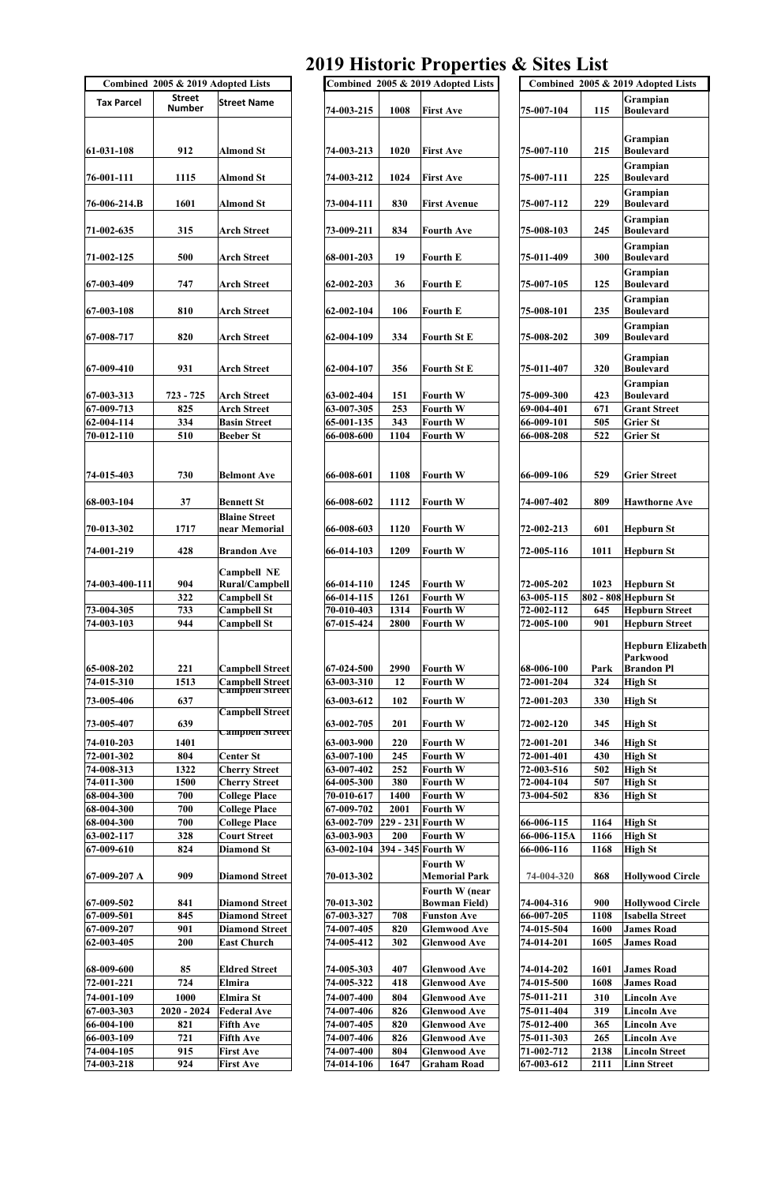## **2019 Historic Properties & Sites List**

|                              |                                    |                                      |                          |             |                                           | $012$ Historic Troperties $\infty$ Sites Enst |              |                                      |
|------------------------------|------------------------------------|--------------------------------------|--------------------------|-------------|-------------------------------------------|-----------------------------------------------|--------------|--------------------------------------|
|                              | Combined 2005 & 2019 Adopted Lists |                                      |                          |             | Combined 2005 & 2019 Adopted Lists        |                                               |              | Combined 2005 & 2019 Adopted Lists   |
|                              | <b>Street</b>                      |                                      |                          |             |                                           |                                               |              | Grampian                             |
| <b>Tax Parcel</b>            | <b>Number</b>                      | <b>Street Name</b>                   | 74-003-215               | 1008        | <b>First Ave</b>                          | 75-007-104                                    | 115          | Boulevard                            |
|                              |                                    |                                      |                          |             |                                           |                                               |              |                                      |
|                              |                                    |                                      |                          |             |                                           |                                               |              |                                      |
|                              |                                    |                                      |                          |             |                                           |                                               |              | Grampian                             |
| $ 61-031-108$                | 912                                | <b>Almond St</b>                     | 74-003-213               | 1020        | <b>First Ave</b>                          | 75-007-110                                    | 215          | Boulevard                            |
|                              |                                    |                                      |                          |             |                                           |                                               |              | Grampian                             |
| $76 - 001 - 111$             | 1115                               | <b>Almond St</b>                     | 74-003-212               | 1024        | <b>First Ave</b>                          | 75-007-111                                    | 225          | Boulevard                            |
|                              |                                    |                                      |                          |             |                                           |                                               |              | Grampian                             |
| 76-006-214.B                 | 1601                               | <b>Almond St</b>                     | 73-004-111               | 830         | <b>First Avenue</b>                       | 75-007-112                                    | 229          | Boulevard                            |
|                              |                                    |                                      |                          |             |                                           |                                               |              |                                      |
|                              |                                    |                                      |                          |             |                                           |                                               |              | Grampian                             |
| 71-002-635                   | 315                                | <b>Arch Street</b>                   | 73-009-211               | 834         | <b>Fourth Ave</b>                         | 75-008-103                                    | 245          | Boulevard                            |
|                              |                                    |                                      |                          |             |                                           |                                               |              | Grampian                             |
| $71 - 002 - 125$             | 500                                | <b>Arch Street</b>                   | 68-001-203               | 19          | <b>Fourth E</b>                           | 75-011-409                                    | 300          | Boulevard                            |
|                              |                                    |                                      |                          |             |                                           |                                               |              | Grampian                             |
| $ 67-003-409 $               | 747                                | <b>Arch Street</b>                   | $ 62-002-203$            | 36          | <b>Fourth E</b>                           | 75-007-105                                    | 125          | Boulevard                            |
|                              |                                    |                                      |                          |             |                                           |                                               |              | Grampian                             |
| $ 67-003-108 $               | 810                                | <b>Arch Street</b>                   | 62-002-104               | 106         | <b>Fourth E</b>                           | 75-008-101                                    | 235          | Boulevard                            |
|                              |                                    |                                      |                          |             |                                           |                                               |              |                                      |
| $ 67-008-717$                | 820                                | <b>Arch Street</b>                   | 62-004-109               | 334         | <b>Fourth St E</b>                        | 75-008-202                                    | 309          | Grampian<br><b>Boulevard</b>         |
|                              |                                    |                                      |                          |             |                                           |                                               |              |                                      |
|                              |                                    |                                      |                          |             |                                           |                                               |              | Grampian                             |
| $ 67-009-410 $               | 931                                | <b>Arch Street</b>                   | 62-004-107               | 356         | <b>Fourth St E</b>                        | 75-011-407                                    | 320          | Boulevard                            |
|                              |                                    |                                      |                          |             |                                           |                                               |              | Grampian                             |
| $ 67-003-313 $               | $723 - 725$                        | <b>Arch Street</b>                   | 63-002-404               | 151         | Fourth W                                  | 75-009-300                                    | 423          | <b>Boulevard</b>                     |
|                              |                                    |                                      |                          |             |                                           |                                               |              |                                      |
| $ 67-009-713 $               | 825                                | <b>Arch Street</b>                   | 63-007-305               | 253         | Fourth W                                  | 69-004-401                                    | 671          | <b>Grant Street</b>                  |
| $ 62-004-114 $               | 334                                | <b>Basin Street</b>                  | 65-001-135               | 343         | <b>Fourth W</b>                           | 66-009-101                                    | 505          | Grier St                             |
| $70 - 012 - 110$             | 510                                | <b>Beeber St</b>                     | 66-008-600               | 1104        | Fourth W                                  | 66-008-208                                    | 522          | <b>Grier St</b>                      |
|                              |                                    |                                      |                          |             |                                           |                                               |              |                                      |
|                              |                                    |                                      |                          |             |                                           |                                               |              |                                      |
| $ 74-015-403$                | 730                                | <b>Belmont Ave</b>                   | 66-008-601               | 1108        | Fourth W                                  | 66-009-106                                    | 529          | <b>Grier Street</b>                  |
|                              |                                    |                                      |                          |             |                                           |                                               |              |                                      |
|                              |                                    |                                      |                          |             |                                           |                                               |              |                                      |
| $ 68-003-104$                | 37                                 | <b>Bennett St</b>                    | 66-008-602               | 1112        | <b>Fourth W</b>                           | 74-007-402                                    | 809          | <b>Hawthorne Ave</b>                 |
|                              |                                    | <b>Blaine Street</b>                 |                          |             |                                           |                                               |              |                                      |
| $ 70-013-302 $               | 1717                               | near Memorial                        | 66-008-603               | 1120        | <b>Fourth W</b>                           | 72-002-213                                    | 601          | Hepburn St                           |
|                              |                                    |                                      |                          |             |                                           |                                               |              |                                      |
| $ 74-001-219$                | 428                                | <b>Brandon Ave</b>                   | 66-014-103               | 1209        | Fourth W                                  | 72-005-116                                    | 1011         | Hepburn St                           |
|                              |                                    |                                      |                          |             |                                           |                                               |              |                                      |
|                              |                                    | <b>Campbell NE</b>                   |                          |             |                                           |                                               |              |                                      |
| 74-003-400-111               | 904                                | <b>Rural/Campbell</b>                | 66-014-110               | 1245        | <b>Fourth W</b>                           | 72-005-202                                    | 1023         | Hepburn St                           |
|                              | 322                                | <b>Campbell St</b>                   | $ 66-014-115$            | 1261        | Fourth W                                  | 63-005-115                                    |              | $802 - 808$ Hepburn St               |
| 73-004-305                   |                                    | <b>Campbell St</b>                   | 70-010-403               | 1314        | Fourth W                                  | 72-002-112                                    | 645          | <b>Hepburn Street</b>                |
|                              | 733                                |                                      |                          |             |                                           |                                               |              |                                      |
| $74 - 003 - 103$             | 944                                | <b>Campbell St</b>                   | $ 67-015-424 $           | 2800        | <b>Fourth W</b>                           | 72-005-100                                    | 901          | <b>Hepburn Street</b>                |
|                              |                                    |                                      |                          |             |                                           |                                               |              |                                      |
|                              |                                    |                                      |                          |             |                                           |                                               |              | <b>Hepburn Elizabet</b>              |
|                              |                                    |                                      |                          |             |                                           |                                               |              | Parkwood                             |
| 65-008-202                   | 221                                | <b>Campbell Street</b>               | $ 67-024-500 $           | 2990        | Fourth W                                  | 68-006-100                                    | Park         | <b>Brandon Pl</b>                    |
| $74 - 015 - 310$             | 1513                               | <b>Campbell Street</b>               | 63-003-310               | 12          | Fourth W                                  | 72-001-204                                    | 324          | High St                              |
|                              |                                    | <del>Campoen street</del>            |                          |             |                                           |                                               |              |                                      |
| 73-005-406                   | 637                                |                                      | 63-003-612               | 102         | Fourth W                                  | 72-001-203                                    | 330          | High St                              |
|                              |                                    | <b>Campbell Street</b>               |                          |             |                                           |                                               |              |                                      |
| 73-005-407                   | 639                                |                                      | 63-002-705               | 201         | <b>Fourth W</b>                           | 72-002-120                                    | 345          | High St                              |
|                              |                                    | Campbell Street                      |                          |             |                                           |                                               |              |                                      |
| 74-010-203                   | 1401                               |                                      | 63-003-900               | 220         | <b>Fourth W</b>                           | 72-001-201                                    | 346          | High St                              |
| 72-001-302                   | 804                                | <b>Center St</b>                     | 63-007-100               | 245         | Fourth W                                  | 72-001-401                                    | 430          | High St                              |
| 74-008-313                   | 1322                               | <b>Cherry Street</b>                 | 63-007-402               | 252         | Fourth W                                  | 72-003-516                                    | 502          | High St                              |
| 74-011-300                   | 1500                               | <b>Cherry Street</b>                 | 64-005-300               | 380         | <b>Fourth W</b>                           | 72-004-104                                    | 507          | High St                              |
| 68-004-300                   | 700                                | <b>College Place</b>                 | 70-010-617               | 1400        | Fourth W                                  | 73-004-502                                    | 836          | High St                              |
| 68-004-300                   | 700                                | <b>College Place</b>                 | $ 67-009-702$            | 2001        | Fourth W                                  |                                               |              |                                      |
|                              |                                    |                                      |                          |             |                                           |                                               |              |                                      |
| 68-004-300                   | 700                                | <b>College Place</b>                 | 63-002-709               |             | $ 229 - 231 $ Fourth W                    | 66-006-115                                    | 1164         | High St                              |
| 63-002-117                   | 328                                | <b>Court Street</b>                  | 63-003-903               | 200         | Fourth W                                  | 66-006-115A                                   | 1166         | High St                              |
| $ 67-009-610 $               | 824                                | <b>Diamond St</b>                    | 63-002-104               |             | $ 394 - 345 $ Fourth W                    | 66-006-116                                    | 1168         | High St                              |
|                              |                                    |                                      |                          |             | <b>Fourth W</b>                           |                                               |              |                                      |
| $ 67-009-207 A$              | 909                                | <b>Diamond Street</b>                | 70-013-302               |             | <b>Memorial Park</b>                      | 74-004-320                                    | 868          | <b>Hollywood Circle</b>              |
|                              |                                    |                                      |                          |             | Fourth W (near                            |                                               |              |                                      |
| $ 67-009-502 $               | 841                                | <b>Diamond Street</b>                | 70-013-302               |             | <b>Bowman Field)</b>                      | 74-004-316                                    | 900          | <b>Hollywood Circle</b>              |
|                              |                                    |                                      | $ 67-003-327$            |             |                                           |                                               |              |                                      |
| 67-009-501                   | 845                                | <b>Diamond Street</b>                |                          | 708         | <b>Funston Ave</b>                        | 66-007-205                                    | 1108         | Isabella Street                      |
| $ 67-009-207$                | 901                                | <b>Diamond Street</b>                | 74-007-405               | 820         | <b>Glemwood Ave</b>                       | 74-015-504                                    | 1600         | <b>James Road</b>                    |
| 62-003-405                   | 200                                | <b>East Church</b>                   | 74-005-412               | 302         | <b>Glenwood Ave</b>                       | 74-014-201                                    | 1605         | James Road                           |
|                              |                                    |                                      |                          |             |                                           |                                               |              |                                      |
| 68-009-600                   | 85                                 | <b>Eldred Street</b>                 | 74-005-303               | 407         | <b>Glenwood Ave</b>                       | 74-014-202                                    | 1601         | <b>James Road</b>                    |
| $ 72-001-221 $               | 724                                | Elmira                               | 74-005-322               | 418         | <b>Glenwood Ave</b>                       | 74-015-500                                    | 1608         | <b>James Road</b>                    |
| 74-001-109                   | 1000                               | Elmira St                            | 74-007-400               | 804         | <b>Glenwood Ave</b>                       | 75-011-211                                    | 310          | Lincoln Ave                          |
|                              |                                    |                                      |                          |             |                                           |                                               |              |                                      |
| $ 67-003-303 $               | $2020 - 2024$                      | <b>Federal Ave</b>                   | 74-007-406               | 826         | <b>Glenwood Ave</b>                       | 75-011-404                                    | 319          | <b>Lincoln Ave</b>                   |
| 66-004-100                   | 821                                | <b>Fifth Ave</b>                     | 74-007-405               | 820         | <b>Glenwood Ave</b>                       | 75-012-400                                    | 365          | Lincoln Ave                          |
| $ 66-003-109 $               | 721                                | <b>Fifth Ave</b>                     | 74-007-406               | 826         | <b>Glenwood Ave</b>                       | 75-011-303                                    | 265          | Lincoln Ave                          |
| 74-004-105<br>$ 74-003-218 $ | 915<br>924                         | <b>First Ave</b><br><b>First Ave</b> | 74-007-400<br>74-014-106 | 804<br>1647 | <b>Glenwood Ave</b><br><b>Graham Road</b> | 71-002-712<br>67-003-612                      | 2138<br>2111 | <b>Lincoln Street</b><br>Linn Street |

|                                                                                                                                                          | & 2019 Adopted Lists                           |
|----------------------------------------------------------------------------------------------------------------------------------------------------------|------------------------------------------------|
| treet                                                                                                                                                    | <b>Street Name</b>                             |
| ımber                                                                                                                                                    |                                                |
|                                                                                                                                                          |                                                |
|                                                                                                                                                          |                                                |
| 912                                                                                                                                                      | <b>Almond St</b>                               |
| 115                                                                                                                                                      | <b>Almond St</b>                               |
|                                                                                                                                                          |                                                |
| 1601                                                                                                                                                     | <b>Almond St</b>                               |
|                                                                                                                                                          |                                                |
| 315                                                                                                                                                      | <b>Arch Street</b>                             |
|                                                                                                                                                          |                                                |
| 500                                                                                                                                                      | <b>Arch Street</b>                             |
|                                                                                                                                                          |                                                |
| 747                                                                                                                                                      | <b>Arch Street</b>                             |
| 810                                                                                                                                                      | <b>Arch Street</b>                             |
|                                                                                                                                                          |                                                |
| 820                                                                                                                                                      | <b>Arch Street</b>                             |
|                                                                                                                                                          |                                                |
| 931                                                                                                                                                      | <b>Arch Street</b>                             |
|                                                                                                                                                          |                                                |
| $3 - 725$                                                                                                                                                | <b>Arch Street</b>                             |
| 825                                                                                                                                                      | <b>Arch Street</b>                             |
| 334                                                                                                                                                      | <b>Basin Street</b>                            |
| 510                                                                                                                                                      | <b>Beeber St</b>                               |
|                                                                                                                                                          |                                                |
|                                                                                                                                                          |                                                |
| 730                                                                                                                                                      | <b>Belmont Ave</b>                             |
|                                                                                                                                                          |                                                |
| $\frac{37}{5}$                                                                                                                                           | Bennett St                                     |
|                                                                                                                                                          | <b>Blaine Street</b>                           |
| 1717                                                                                                                                                     | near Memorial                                  |
| 428                                                                                                                                                      | <b>Brandon Ave</b>                             |
|                                                                                                                                                          |                                                |
|                                                                                                                                                          | <b>Campbell NE</b>                             |
|                                                                                                                                                          |                                                |
| 904                                                                                                                                                      | <b>Rural/Campbell</b>                          |
|                                                                                                                                                          | <b>Campbell St</b>                             |
| 322<br>733                                                                                                                                               | <b>Campbell St</b>                             |
| 944                                                                                                                                                      | <b>Campbell St</b>                             |
|                                                                                                                                                          |                                                |
|                                                                                                                                                          |                                                |
| 221                                                                                                                                                      | <b>Campbell Street</b>                         |
|                                                                                                                                                          | <b>Campbell Street</b>                         |
|                                                                                                                                                          | Campbell Street                                |
|                                                                                                                                                          |                                                |
|                                                                                                                                                          | <b>Campbell Street</b>                         |
|                                                                                                                                                          | Campbell Street                                |
|                                                                                                                                                          |                                                |
|                                                                                                                                                          | <b>Center St</b>                               |
|                                                                                                                                                          | <b>Cherry Street</b>                           |
|                                                                                                                                                          | <b>Cherry Street</b>                           |
|                                                                                                                                                          | <b>College Place</b>                           |
|                                                                                                                                                          | <b>College Place</b>                           |
|                                                                                                                                                          | <b>College Place</b>                           |
|                                                                                                                                                          | <b>Court Street</b>                            |
|                                                                                                                                                          | <b>Diamond St</b>                              |
|                                                                                                                                                          |                                                |
|                                                                                                                                                          | <b>Diamond Street</b>                          |
|                                                                                                                                                          |                                                |
|                                                                                                                                                          | <b>Diamond Street</b><br><b>Diamond Street</b> |
|                                                                                                                                                          | <b>Diamond Street</b>                          |
|                                                                                                                                                          | <b>East Church</b>                             |
|                                                                                                                                                          |                                                |
|                                                                                                                                                          | <b>Eldred Street</b>                           |
|                                                                                                                                                          | Elmira                                         |
| 1513<br>637<br>639<br>1401<br>804<br>322<br>1500<br>700<br>700<br>700<br>328<br>824<br>909<br>841<br>845<br>901<br><b>200</b><br>85<br>724<br><b>000</b> | Elmira St                                      |
|                                                                                                                                                          | <b>Federal Ave</b>                             |
| $0 - 2024$<br>821                                                                                                                                        | <b>Fifth Ave</b>                               |
| 721                                                                                                                                                      | <b>Fifth Ave</b>                               |
| 915<br>924                                                                                                                                               | <b>First Ave</b>                               |

| X<br>DILES LISL |      |                                    |
|-----------------|------|------------------------------------|
|                 |      | Combined 2005 & 2019 Adopted Lists |
|                 |      | Grampian                           |
| 75-007-104      | 115  | <b>Boulevard</b>                   |
|                 |      |                                    |
|                 |      | Grampian                           |
| 75-007-110      | 215  | <b>Boulevard</b>                   |
|                 |      |                                    |
| 75-007-111      | 225  | Grampian<br><b>Boulevard</b>       |
|                 |      |                                    |
| 75-007-112      | 229  | Grampian<br><b>Boulevard</b>       |
|                 |      |                                    |
| 75-008-103      | 245  | Grampian<br><b>Boulevard</b>       |
|                 |      |                                    |
| 75-011-409      | 300  | Grampian<br><b>Boulevard</b>       |
|                 |      |                                    |
|                 |      | Grampian<br><b>Boulevard</b>       |
| 75-007-105      | 125  |                                    |
| 75-008-101      | 235  | Grampian<br><b>Boulevard</b>       |
|                 |      |                                    |
| 75-008-202      |      | Grampian<br><b>Boulevard</b>       |
|                 | 309  |                                    |
|                 |      | Grampian                           |
| 75-011-407      | 320  | <b>Boulevard</b>                   |
|                 |      | Grampian                           |
| 75-009-300      | 423  | <b>Boulevard</b>                   |
| 69-004-401      | 671  | <b>Grant Street</b>                |
| 66-009-101      | 505  | <b>Grier St</b>                    |
| 66-008-208      | 522  | Grier St                           |
|                 |      |                                    |
|                 |      |                                    |
| 66-009-106      | 529  | <b>Grier Street</b>                |
|                 |      |                                    |
| 74-007-402      | 809  | <b>Hawthorne Ave</b>               |
|                 |      |                                    |
| 72-002-213      | 601  | <b>Hepburn St</b>                  |
|                 |      |                                    |
| 72-005-116      | 1011 | <b>Hepburn St</b>                  |
|                 |      |                                    |
|                 |      |                                    |
|                 |      |                                    |
| 72-005-202      | 1023 | Hepburn St                         |
| 63-005-115      |      | 802 - 808 Hepburn St               |
| 72-002-112      | 645  | <b>Hepburn Street</b>              |
| 72-005-100      | 901  | <b>Hepburn Street</b>              |
|                 |      | <b>Hepburn Elizabeth</b>           |
|                 |      | <b>Parkwood</b>                    |
| 68-006-100      | Park | <b>Brandon Pl</b>                  |
| 72-001-204      | 324  | <b>High St</b>                     |
|                 |      |                                    |
| 72-001-203      | 330  | <b>High St</b>                     |
| 72-002-120      | 345  | <b>High St</b>                     |
|                 |      |                                    |
| 72-001-201      | 346  | <b>High St</b>                     |
| 72-001-401      | 430  | <b>High St</b>                     |
| 72-003-516      | 502  | <b>High St</b>                     |
| 72-004-104      | 507  | <b>High St</b>                     |
| 73-004-502      | 836  | <b>High St</b>                     |
|                 |      |                                    |
| 66-006-115      | 1164 | <b>High St</b>                     |
| 66-006-115A     | 1166 | <b>High St</b>                     |
| 66-006-116      | 1168 | <b>High St</b>                     |
|                 |      |                                    |
| 74-004-320      | 868  | <b>Hollywood Circle</b>            |
|                 |      |                                    |
| 74-004-316      | 900  | <b>Hollywood Circle</b>            |
| 66-007-205      | 1108 | <b>Isabella Street</b>             |
| 74-015-504      | 1600 | <b>James Road</b>                  |
| 74-014-201      | 1605 | <b>James Road</b>                  |
|                 |      |                                    |
| 74-014-202      | 1601 | <b>James Road</b>                  |
| 74-015-500      | 1608 | <b>James Road</b>                  |
| 75-011-211      | 310  | <b>Lincoln Ave</b>                 |
| 75-011-404      | 319  | <b>Lincoln Ave</b>                 |
| 75-012-400      | 365  | <b>Lincoln Ave</b>                 |
| 75-011-303      | 265  | <b>Lincoln Ave</b>                 |
| 71-002-712      | 2138 | <b>Lincoln Street</b>              |